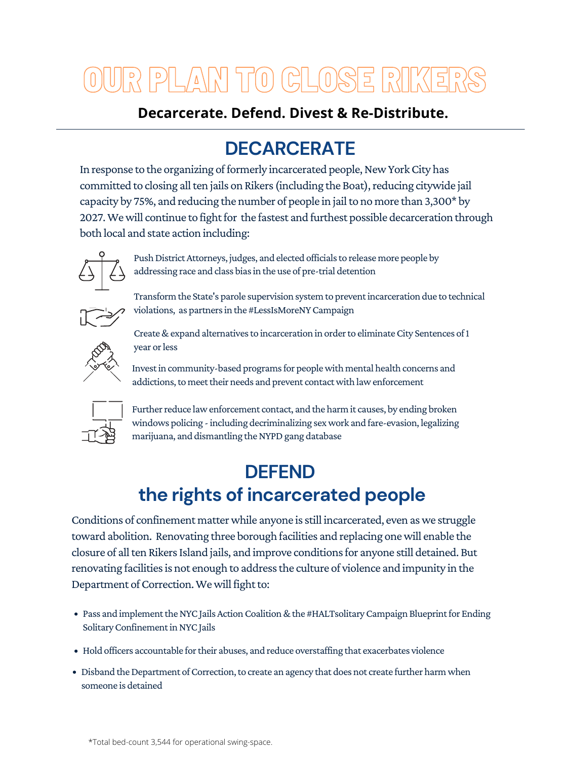In response to the organizing of formerly incarcerated people, New York City has committed to closing all ten jails on Rikers (including the Boat), reducing citywide jail capacity by 75%, and reducing the number of people in jail to no more than 3,300\* by 2027. We will continue to fight for the fastest and furthest possible decarceration through both local and state action including:



Push District Attorneys, judges, and elected officials to release more people by addressing race and class bias in the use of pre-trial detention



# OUR PLAN TO CLOSE RIKERS

Transform the State's parole supervision system to preventincarceration due to technical violations, as partners in the #LessIsMoreNY Campaign



Create & expand alternatives to incarceration in order to eliminate City Sentences of 1 year or less



Invest in community-based programs for people with mental health concerns and addictions, to meet their needs and prevent contact with law enforcement



Further reduce law enforcement contact, and the harm it causes, by ending broken windows policing - including decriminalizing sex work and fare-evasion, legalizing marijuana, and dismantling the NYPD gang database

- Pass and implement the NYC Jails Action Coalition & the #HALTsolitary Campaign Blueprint for Ending Solitary Confinement in NYC Jails
- Hold officers accountable for their abuses, and reduce overstaffing that exacerbates violence
- Disband the Department of Correction, to create an agency that does not create further harm when someone is detained

## **DECARCERATE**

## **DEFEND the rights of incarcerated people**

Conditions of confinement matter while anyone is still incarcerated, even as we struggle toward abolition. Renovating three borough facilities and replacing onewill enable the closure of all ten Rikers Island jails, and improve conditions for anyone still detained. But renovating facilities is not enough to address the culture of violence and impunity in the Department of Correction. We will fight to:

### **Decarcerate. Defend. Divest & Re-Distribute.**